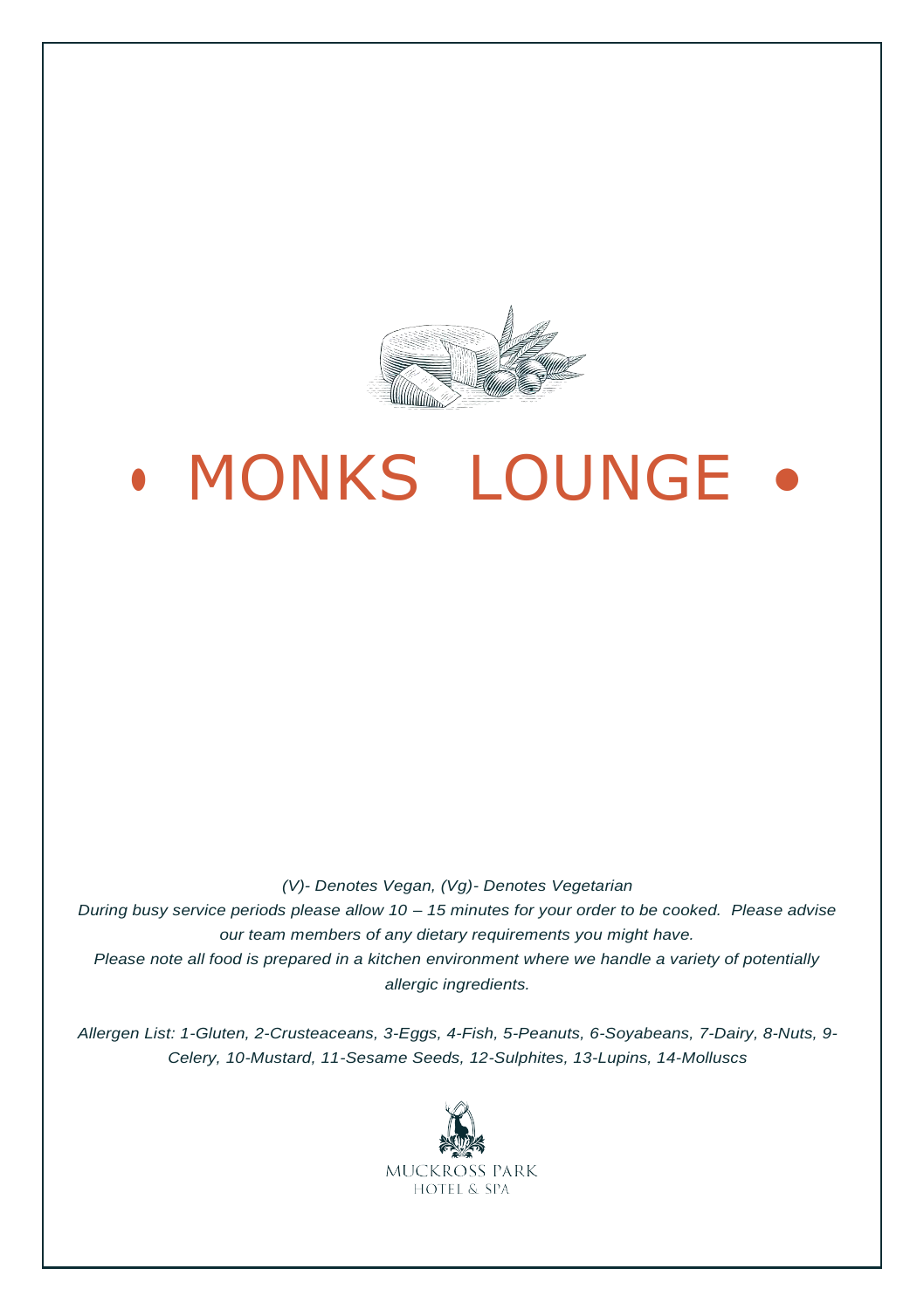

# **MONKS LOUNGE**

*(V)- Denotes Vegan, (Vg)- Denotes Vegetarian During busy service periods please allow 10 – 15 minutes for your order to be cooked. Please advise our team members of any dietary requirements you might have. Please note all food is prepared in a kitchen environment where we handle a variety of potentially allergic ingredients.*

*Allergen List: 1-Gluten, 2-Crusteaceans, 3-Eggs, 4-Fish, 5-Peanuts, 6-Soyabeans, 7-Dairy, 8-Nuts, 9- Celery, 10-Mustard, 11-Sesame Seeds, 12-Sulphites, 13-Lupins, 14-Molluscs*